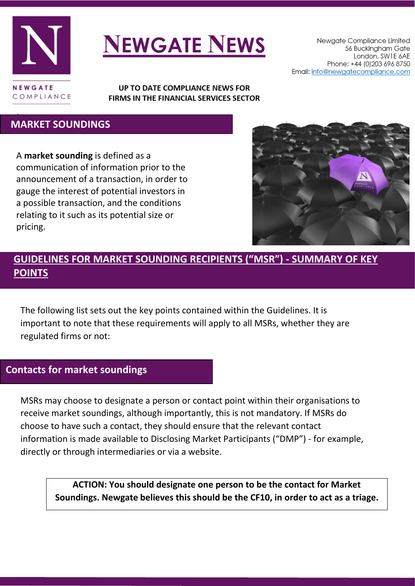

# **NEWGATE NEWS**

Newgate Compliance Limited 56 Buckingham Gate London. SW1E 6AE Phone: +44 (0) 203 696 8750 Email: info@newgatecompliance.com

UP TO DATE COMPLIANCE NEWS FOR FIRMS IN THE FINANCIAL SERVICES SECTOR

#### τ  **MARKET SOUNDINGS**

A **market sounding** is defined as a communication of information prior to the announcement of a transaction, in order to gauge the interest of potential investors in a possible transaction, and the conditions relating to it such as its potential size or pricing.



# **GUIDELINES FOR MARKET SOUNDING RECIPIENTS ("MSR") - SUMMARY OF KEY POINTS**

The following list sets out the key points contained within the Guidelines. It is important to note that these requirements will apply to all MSRs, whether they are regulated firms or not:

### **Contacts for market soundings**

MSRs may choose to designate a person or contact point within their organisations to receive market soundings, although importantly, this is not mandatory. If MSRs do choose to have such a contact, they should ensure that the relevant contact information is made available to Disclosing Market Participants ("DMP") - for example, directly or through intermediaries or via a website.

> **ACTION: You should designate one person to be the contact for Market Soundings. Newgate believes this should be the CF10, in order to act as a triage.**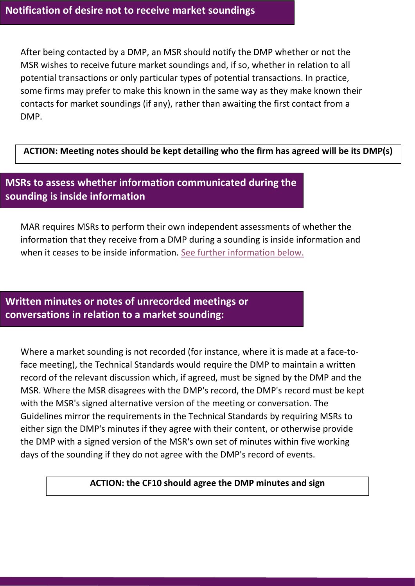After being contacted by a DMP, an MSR should notify the DMP whether or not the MSR wishes to receive future market soundings and, if so, whether in relation to all potential transactions or only particular types of potential transactions. In practice, some firms may prefer to make this known in the same way as they make known their contacts for market soundings (if any), rather than awaiting the first contact from a DMP.

**ACTION: Meeting notes should be kept detailing who the firm has agreed will be its DMP(s)**

# **MSRs to assess whether information communicated during the sounding is inside information**

MAR requires MSRs to perform their own independent assessments of whether the information that they receive from a DMP during a sounding is inside information and when it ceases to be inside information. [See further information](#page-4-0) below.

## **Written minutes or notes of unrecorded meetings or conversations in relation to a market sounding:**

Where a market sounding is not recorded (for instance, where it is made at a face-toface meeting), the Technical Standards would require the DMP to maintain a written record of the relevant discussion which, if agreed, must be signed by the DMP and the MSR. Where the MSR disagrees with the DMP's record, the DMP's record must be kept with the MSR's signed alternative version of the meeting or conversation. The Guidelines mirror the requirements in the Technical Standards by requiring MSRs to either sign the DMP's minutes if they agree with their content, or otherwise provide the DMP with a signed version of the MSR's own set of minutes within five working days of the sounding if they do not agree with the DMP's record of events.

#### **ACTION: the CF10 should agree the DMP minutes and sign**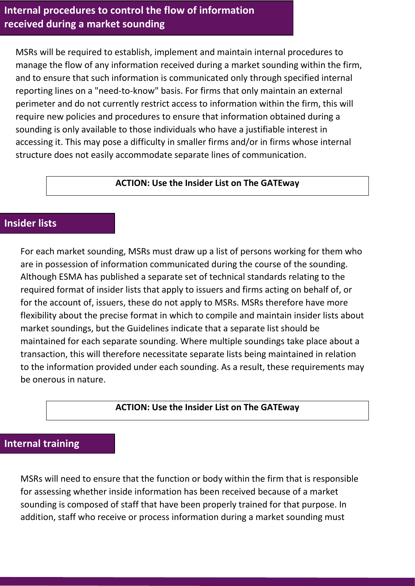## **Internal procedures to control the flow of information received during a market sounding**

MSRs will be required to establish, implement and maintain internal procedures to manage the flow of any information received during a market sounding within the firm, and to ensure that such information is communicated only through specified internal reporting lines on a "need-to-know" basis. For firms that only maintain an external perimeter and do not currently restrict access to information within the firm, this will require new policies and procedures to ensure that information obtained during a sounding is only available to those individuals who have a justifiable interest in accessing it. This may pose a difficulty in smaller firms and/or in firms whose internal structure does not easily accommodate separate lines of communication.

#### **ACTION: Use the Insider List on The GATEway**

## **Insider lists**

For each market sounding, MSRs must draw up a list of persons working for them who are in possession of information communicated during the course of the sounding. Although ESMA has published a separate set of technical standards relating to the required format of insider lists that apply to issuers and firms acting on behalf of, or for the account of, issuers, these do not apply to MSRs. MSRs therefore have more flexibility about the precise format in which to compile and maintain insider lists about market soundings, but the Guidelines indicate that a separate list should be maintained for each separate sounding. Where multiple soundings take place about a transaction, this will therefore necessitate separate lists being maintained in relation to the information provided under each sounding. As a result, these requirements may be onerous in nature.

#### **ACTION: Use the Insider List on The GATEway**

## **Internal training**

MSRs will need to ensure that the function or body within the firm that is responsible for assessing whether inside information has been received because of a market sounding is composed of staff that have been properly trained for that purpose. In addition, staff who receive or process information during a market sounding must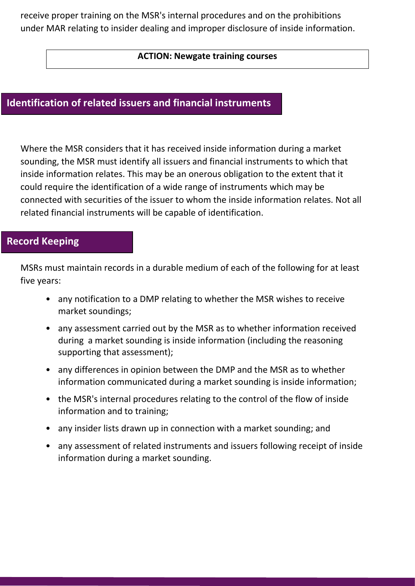receive proper training on the MSR's internal procedures and on the prohibitions under MAR relating to insider dealing and improper disclosure of inside information.

#### **ACTION: Newgate training courses**

## **Identification of related issuers and financial instruments**

Where the MSR considers that it has received inside information during a market sounding, the MSR must identify all issuers and financial instruments to which that inside information relates. This may be an onerous obligation to the extent that it could require the identification of a wide range of instruments which may be connected with securities of the issuer to whom the inside information relates. Not all related financial instruments will be capable of identification.

## **Record Keeping**

MSRs must maintain records in a durable medium of each of the following for at least five years:

- any notification to a DMP relating to whether the MSR wishes to receive market soundings;
- any assessment carried out by the MSR as to whether information received during a market sounding is inside information (including the reasoning supporting that assessment);
- any differences in opinion between the DMP and the MSR as to whether information communicated during a market sounding is inside information;
- the MSR's internal procedures relating to the control of the flow of inside information and to training;
- any insider lists drawn up in connection with a market sounding; and
- any assessment of related instruments and issuers following receipt of inside information during a market sounding.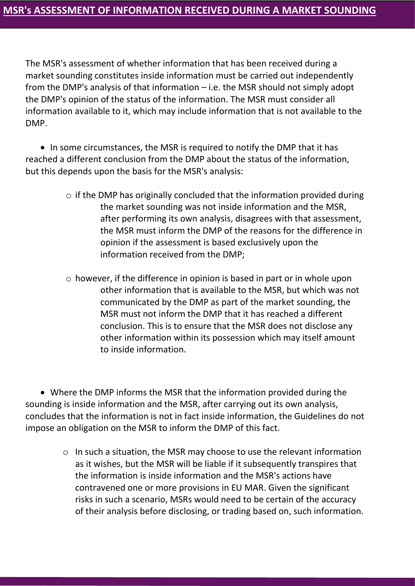<span id="page-4-0"></span>The MSR's assessment of whether information that has been received during a market sounding constitutes inside information must be carried out independently from the DMP's analysis of that information – i.e. the MSR should not simply adopt the DMP's opinion of the status of the information. The MSR must consider all information available to it, which may include information that is not available to the DMP.

• In some circumstances, the MSR is required to notify the DMP that it has reached a different conclusion from the DMP about the status of the information, but this depends upon the basis for the MSR's analysis:

- $\circ$  if the DMP has originally concluded that the information provided during the market sounding was not inside information and the MSR, after performing its own analysis, disagrees with that assessment, the MSR must inform the DMP of the reasons for the difference in opinion if the assessment is based exclusively upon the information received from the DMP;
- o however, if the difference in opinion is based in part or in whole upon other information that is available to the MSR, but which was not communicated by the DMP as part of the market sounding, the MSR must not inform the DMP that it has reached a different conclusion. This is to ensure that the MSR does not disclose any other information within its possession which may itself amount to inside information.

 Where the DMP informs the MSR that the information provided during the sounding is inside information and the MSR, after carrying out its own analysis, concludes that the information is not in fact inside information, the Guidelines do not impose an obligation on the MSR to inform the DMP of this fact.

> o In such a situation, the MSR may choose to use the relevant information as it wishes, but the MSR will be liable if it subsequently transpires that the information is inside information and the MSR's actions have contravened one or more provisions in EU MAR. Given the significant risks in such a scenario, MSRs would need to be certain of the accuracy of their analysis before disclosing, or trading based on, such information.